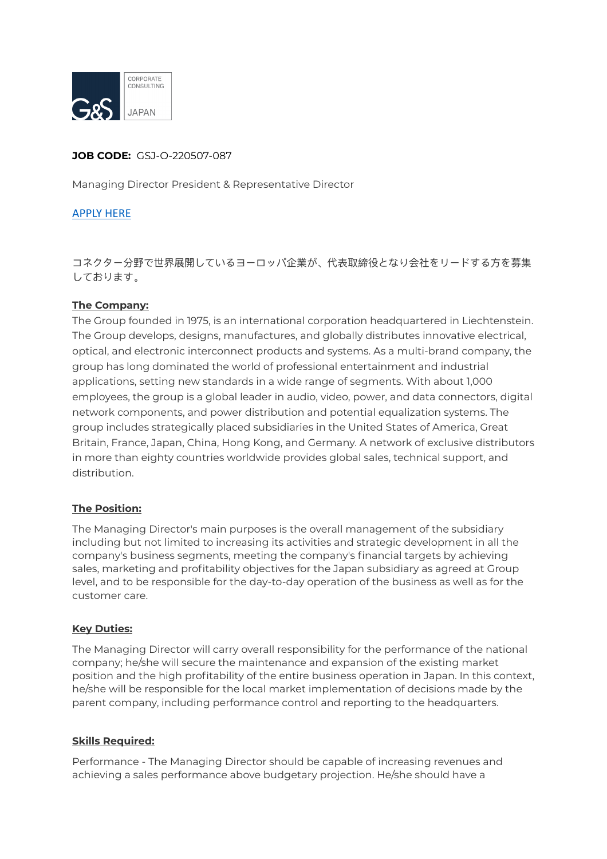

## **JOB CODE:** GSJ-O-220507-087

Managing Director President & Representative Director

## [APPLY HERE](https://gs-asia.com/applyjp/)

コネクター分野で世界展開しているヨーロッパ企業が、代表取締役となり会社をリードする⽅を募集 しております。

## **The Company:**

The Group founded in 1975, is an international corporation headquartered in Liechtenstein. The Group develops, designs, manufactures, and globally distributes innovative electrical, optical, and electronic interconnect products and systems. As a multi-brand company, the group has long dominated the world of professional entertainment and industrial applications, setting new standards in a wide range of segments. With about 1,000 employees, the group is a global leader in audio, video, power, and data connectors, digital network components, and power distribution and potential equalization systems. The group includes strategically placed subsidiaries in the United States of America, Great Britain, France, Japan, China, Hong Kong, and Germany. A network of exclusive distributors in more than eighty countries worldwide provides global sales, technical support, and distribution.

## **The Position:**

The Managing Director's main purposes is the overall management of the subsidiary including but not limited to increasing its activities and strategic development in all the company's business segments, meeting the company's financial targets by achieving sales, marketing and profitability objectives for the Japan subsidiary as agreed at Group level, and to be responsible for the day-to-day operation of the business as well as for the customer care.

#### **Key Duties:**

The Managing Director will carry overall responsibility for the performance of the national company; he/she will secure the maintenance and expansion of the existing market position and the high profitability of the entire business operation in Japan. In this context, he/she will be responsible for the local market implementation of decisions made by the parent company, including performance control and reporting to the headquarters.

#### **Skills Required:**

Performance - The Managing Director should be capable of increasing revenues and achieving a sales performance above budgetary projection. He/she should have a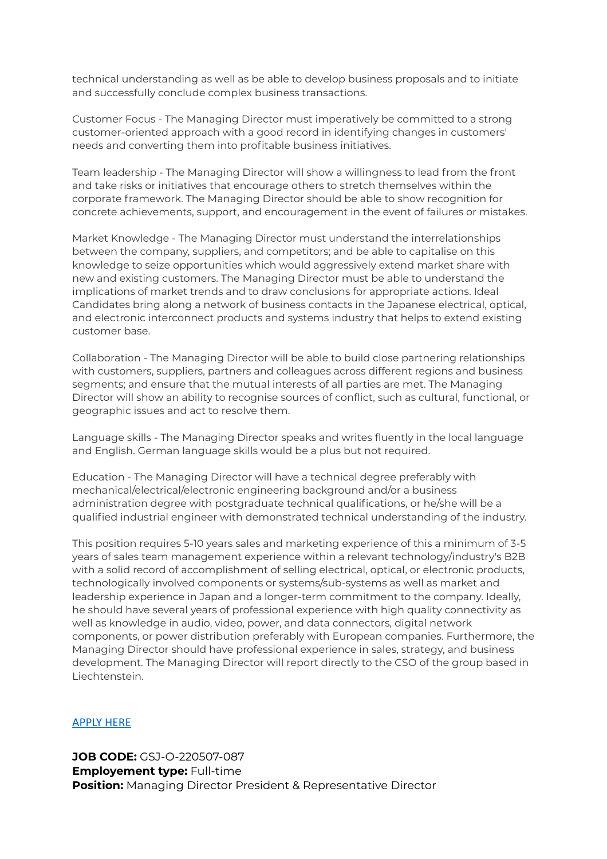technical understanding as well as be able to develop business proposals and to initiate and successfully conclude complex business transactions.

Customer Focus - The Managing Director must imperatively be committed to a strong customer-oriented approach with a good record in identifying changes in customers' needs and converting them into profitable business initiatives.

Team leadership - The Managing Director will show a willingness to lead from the front and take risks or initiatives that encourage others to stretch themselves within the corporate framework. The Managing Director should be able to show recognition for concrete achievements, support, and encouragement in the event of failures or mistakes.

Market Knowledge - The Managing Director must understand the interrelationships between the company, suppliers, and competitors; and be able to capitalise on this knowledge to seize opportunities which would aggressively extend market share with new and existing customers. The Managing Director must be able to understand the implications of market trends and to draw conclusions for appropriate actions. Ideal Candidates bring along a network of business contacts in the Japanese electrical, optical, and electronic interconnect products and systems industry that helps to extend existing customer base.

Collaboration - The Managing Director will be able to build close partnering relationships with customers, suppliers, partners and colleagues across different regions and business segments; and ensure that the mutual interests of all parties are met. The Managing Director will show an ability to recognise sources of conflict, such as cultural, functional, or geographic issues and act to resolve them.

Language skills - The Managing Director speaks and writes fluently in the local language and English. German language skills would be a plus but not required.

Education - The Managing Director will have a technical degree preferably with mechanical/electrical/electronic engineering background and/or a business administration degree with postgraduate technical qualifications, or he/she will be a qualified industrial engineer with demonstrated technical understanding of the industry.

This position requires 5-10 years sales and marketing experience of this a minimum of 3-5 years of sales team management experience within a relevant technology/industry's B2B with a solid record of accomplishment of selling electrical, optical, or electronic products, technologically involved components or systems/sub-systems as well as market and leadership experience in Japan and a longer-term commitment to the company. Ideally, he should have several years of professional experience with high quality connectivity as well as knowledge in audio, video, power, and data connectors, digital network components, or power distribution preferably with European companies. Furthermore, the Managing Director should have professional experience in sales, strategy, and business development. The Managing Director will report directly to the CSO of the group based in Liechtenstein.

## [APPLY HERE](https://gs-asia.com/applyjp/)

**JOB CODE:** GSJ-O-220507-087 **Employement type:** Full-time **Position:** Managing Director President & Representative Director